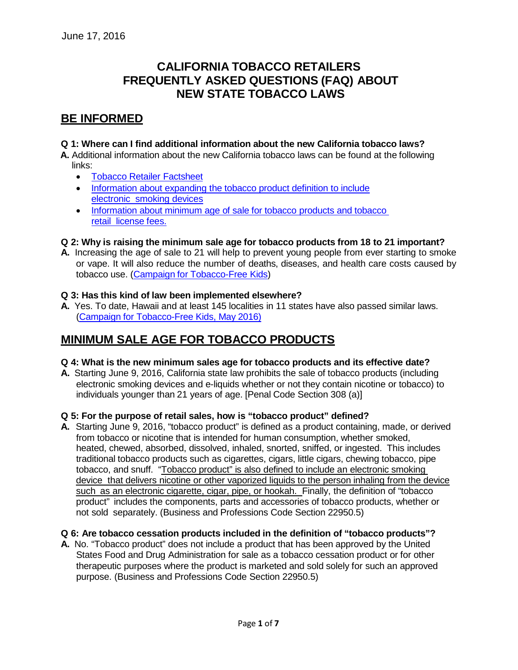# **CALIFORNIA TOBACCO RETAILERS FREQUENTLY ASKED QUESTIONS (FAQ) ABOUT NEW STATE TOBACCO LAWS**

# **BE INFORMED**

### **Q 1: Where can I find additional information about the new California tobacco laws?**

**A.** Additional information about the new California tobacco laws can be found at the following links:

- Tobacco Retailer [Factsheet](https://www.cdph.ca.gov/programs/Pages/STAKEProgram.aspx)
- [Information about](http://leginfo.legislature.ca.gov/faces/billNavClient.xhtml?bill_id=201520162SB5) expanding the tobacco product definition to include [electronic](http://leginfo.legislature.ca.gov/faces/billNavClient.xhtml?bill_id=201520162SB5) [smoking](http://leginfo.legislature.ca.gov/faces/billNavClient.xhtml?bill_id=201520162SB5) devices
- [Information about](http://leginfo.legislature.ca.gov/faces/billNavClient.xhtml?bill_id=201520162SB7) minimum age of sale for tobacco products and tobacco [retail](http://leginfo.legislature.ca.gov/faces/billNavClient.xhtml?bill_id=201520162SB7) [license](http://leginfo.legislature.ca.gov/faces/billNavClient.xhtml?bill_id=201520162SB7) fees.

### **Q 2: Why is raising the minimum sale age for tobacco products from 18 to 21 important?**

**A.** Increasing the age of sale to 21 will help to prevent young people from ever starting to smoke or vape. It will also reduce the number of deaths, diseases, and health care costs caused by tobacco use. (Campaign for [Tobacco-Free](http://www.tobaccofreekids.org/press_releases/post/2015_03_12_iom_21) Kids)

#### **Q 3: Has this kind of law been implemented elsewhere?**

**A.** Yes. To date, Hawaii and at least 145 localities in 11 states have also passed similar laws. (Campaign for [Tobacco-Free Kids,](http://www.tobaccofreekids.org/content/what_we_do/state_local_issues/sales_21/states_localities_MLSA_21.pdf) May 2016)

## **MINIMUM SALE AGE FOR TOBACCO PRODUCTS**

#### **Q 4: What is the new minimum sales age for tobacco products and its effective date?**

**A.** Starting June 9, 2016, California state law prohibits the sale of tobacco products (including electronic smoking devices and e-liquids whether or not they contain nicotine or tobacco) to individuals younger than 21 years of age. [Penal Code Section 308 (a)]

#### **Q 5: For the purpose of retail sales, how is "tobacco product" defined?**

**A.** Starting June 9, 2016, "tobacco product" is defined as a product containing, made, or derived from tobacco or nicotine that is intended for human consumption, whether smoked, heated, chewed, absorbed, dissolved, inhaled, snorted, sniffed, or ingested. This includes traditional tobacco products such as cigarettes, cigars, little cigars, chewing tobacco, pipe tobacco, and snuff. "Tobacco product" is also defined to include an electronic smoking device that delivers nicotine or other vaporized liquids to the person inhaling from the device such as an electronic cigarette, cigar, pipe, or hookah. Finally, the definition of "tobacco product" includes the components, parts and accessories of tobacco products, whether or not sold separately. (Business and Professions Code Section 22950.5)

#### **Q 6: Are tobacco cessation products included in the definition of "tobacco products"?**

**A.** No. "Tobacco product" does not include a product that has been approved by the United States Food and Drug Administration for sale as a tobacco cessation product or for other therapeutic purposes where the product is marketed and sold solely for such an approved purpose. (Business and Professions Code Section 22950.5)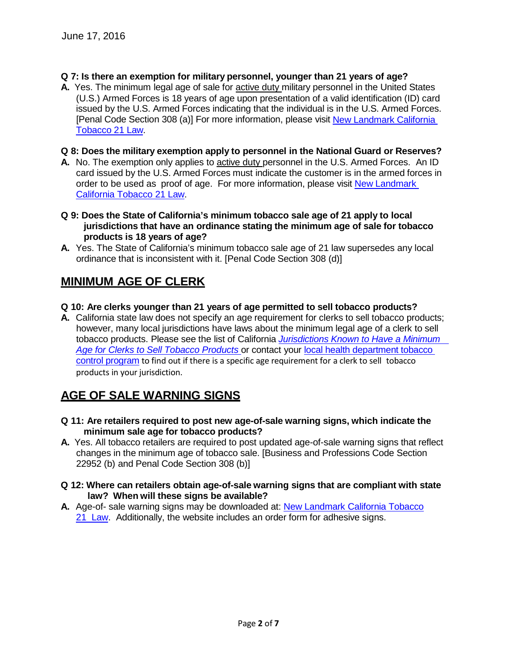- **Q 7: Is there an exemption for military personnel, younger than 21 years of age?**
- **A.** Yes. The minimum legal age of sale for active duty military personnel in the United States (U.S.) Armed Forces is 18 years of age upon presentation of a valid identification (ID) card issued by the U.S. Armed Forces indicating that the individual is in the U.S. Armed Forces. [Penal Code Section 308 (a)] For more information, please visit New [Landmark California](http://www.cdph.ca.gov/programs/tobacco/Pages/Tobacco21.aspx) [Tobacco](http://www.cdph.ca.gov/programs/tobacco/Pages/Tobacco21.aspx) 21 Law.

### **Q 8: Does the military exemption apply to personnel in the National Guard or Reserves?**

- **A.** No. The exemption only applies to active duty personnel in the U.S. Armed Forces. An ID card issued by the U.S. Armed Forces must indicate the customer is in the armed for[ces](http://www.cdph.ca.gov/programs/tobacco/Pages/Tobacco21.aspx) in order to be used as proof of age. For more information, please visit New [Landmark](http://www.cdph.ca.gov/programs/tobacco/Pages/Tobacco21.aspx)  [California](http://www.cdph.ca.gov/programs/tobacco/Pages/Tobacco21.aspx) Tobacco 21 Law.
- **Q 9: Does the State of California's minimum tobacco sale age of 21 apply to local jurisdictions that have an ordinance stating the minimum age of sale for tobacco products is 18 years of age?**
- **A.** Yes. The State of California's minimum tobacco sale age of 21 law supersedes any local ordinance that is inconsistent with it. [Penal Code Section 308 (d)]

# **MINIMUM AGE OF CLERK**

- **Q 10: Are clerks younger than 21 years of age permitted to sell tobacco products?**
- **A.** California state law does not specify an age requirement for clerks to sell tobacco products; however, many local jurisdictions have laws about the minimum legal age of a clerk to sell tobacco products. Please see the list of California *[Jurisdictions](http://cdphinternet/programs/tobacco/Documents/Tobacco21Law/Minimum%20Clerk%20Age%20Jurisdictions.pdf) Known to Have a Minimum Age for Clerks to [Sell Tobacco Products](http://cdphinternet/programs/tobacco/Documents/Tobacco21Law/Minimum%20Clerk%20Age%20Jurisdictions.pdf)* or contact your [local health department](http://www.cdph.ca.gov/programs/tobacco/Documents/Partners/greenSheet2June16.pdf) tobacco [control program](http://www.cdph.ca.gov/programs/tobacco/Documents/Partners/greenSheet2June16.pdf) to find out if there is a specific age requirement for a clerk to sell tobacco products in your jurisdiction.

# **AGE OF SALE WARNING SIGNS**

- **Q 11: Are retailers required to post new age-of-sale warning signs, which indicate the minimum sale age for tobacco products?**
- **A.** Yes. All tobacco retailers are required to post updated age-of-sale warning signs that reflect changes in the minimum age of tobacco sale. [Business and Professions Code Section 22952 (b) and Penal Code Section 308 (b)]
- **Q 12: Where can retailers obtain age-of-sale warning signs that are compliant with state law? When will these signs be available?**
- **A.** Age-of- sale warning signs may be downloaded at: New Landmark [California Tobacco](http://www.cdph.ca.gov/programs/tobacco/Pages/Tobacco21.aspx) [21](http://www.cdph.ca.gov/programs/tobacco/Pages/Tobacco21.aspx) [Law.](http://www.cdph.ca.gov/programs/tobacco/Pages/Tobacco21.aspx) Additionally, the website includes an order form for adhesive signs.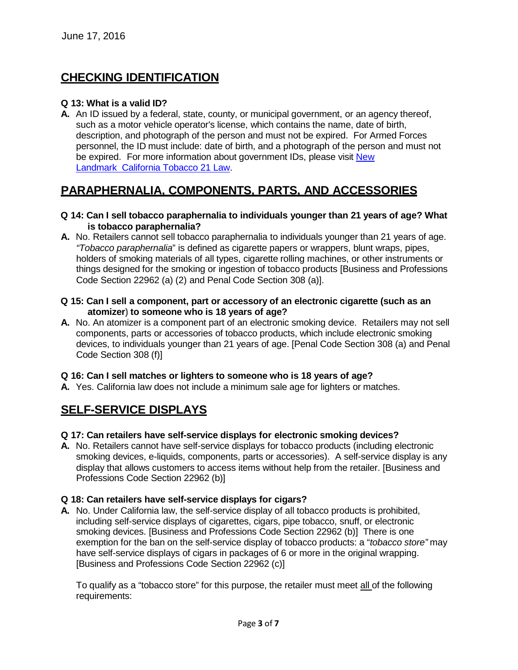# **CHECKING IDENTIFICATION**

### **Q 13: What is a valid ID?**

**A.** An ID issued by a federal, state, county, or municipal government, or an agency thereof, such as a motor vehicle operator's license, which contains the name, date of birth, description, and photograph of the person and must not be expired. For Armed Forces personnel, the ID must include: date of birth, and a photograph of the person and must not be expired. For more information about government IDs, please visit [New](http://www.cdph.ca.gov/programs/tobacco/Pages/Tobacco21.aspx) [Landmark](http://www.cdph.ca.gov/programs/tobacco/Pages/Tobacco21.aspx) California [Tobacco 21](http://www.cdph.ca.gov/programs/tobacco/Pages/Tobacco21.aspx) Law.

# **PARAPHERNALIA, COMPONENTS, PARTS, AND ACCESSORIES**

#### **Q 14: Can I sell tobacco paraphernalia to individuals younger than 21 years of age? What is tobacco paraphernalia?**

- **A.** No. Retailers cannot sell tobacco paraphernalia to individuals younger than 21 years of age. *"Tobacco paraphernalia*" is defined as cigarette papers or wrappers, blunt wraps, pipes, holders of smoking materials of all types, cigarette rolling machines, or other instruments or things designed for the smoking or ingestion of tobacco products [Business and Professions Code Section 22962 (a) (2) and Penal Code Section 308 (a)].
- **Q 15: Can I sell a component, part or accessory of an electronic cigarette (such as an atomizer) to someone who is 18 years of age?**
- **A.** No. An atomizer is a component part of an electronic smoking device. Retailers may not sell components, parts or accessories of tobacco products, which include electronic smoking devices, to individuals younger than 21 years of age. [Penal Code Section 308 (a) and Penal Code Section 308 (f)]

#### **Q 16: Can I sell matches or lighters to someone who is 18 years of age?**

**A.** Yes. California law does not include a minimum sale age for lighters or matches.

# **SELF-SERVICE DISPLAYS**

### **Q 17: Can retailers have self-service displays for electronic smoking devices?**

**A.** No. Retailers cannot have self-service displays for tobacco products (including electronic smoking devices, e-liquids, components, parts or accessories). A self-service display is any display that allows customers to access items without help from the retailer. [Business and Professions Code Section 22962 (b)]

### **Q 18: Can retailers have self-service displays for cigars?**

**A.** No. Under California law, the self-service display of all tobacco products is prohibited, including self-service displays of cigarettes, cigars, pipe tobacco, snuff, or electronic smoking devices. [Business and Professions Code Section 22962 (b)] There is one exemption for the ban on the self-service display of tobacco products: a "*tobacco store"* may have self-service displays of cigars in packages of 6 or more in the original wrapping. [Business and Professions Code Section 22962 (c)]

To qualify as a "tobacco store" for this purpose, the retailer must meet all of the following requirements: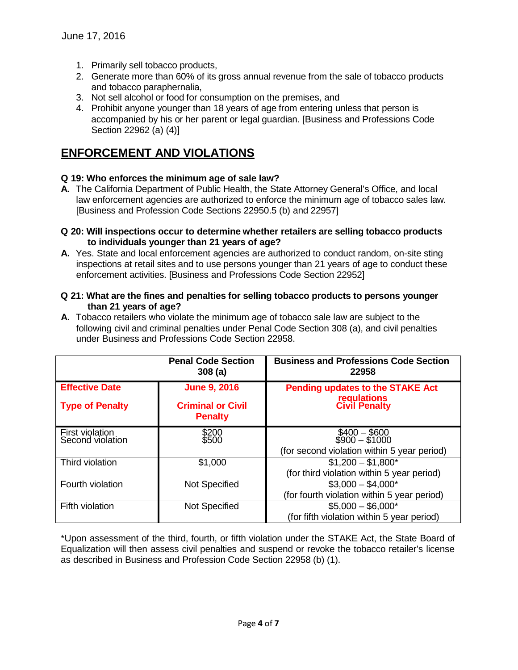- 1. Primarily sell tobacco products,
- 2. Generate more than 60% of its gross annual revenue from the sale of tobacco products and tobacco paraphernalia,
- 3. Not sell alcohol or food for consumption on the premises, and
- 4. Prohibit anyone younger than 18 years of age from entering unless that person is accompanied by his or her parent or legal guardian. [Business and Professions Code Section 22962 (a) (4)]

# **ENFORCEMENT AND VIOLATIONS**

### **Q 19: Who enforces the minimum age of sale law?**

- **A.** The California Department of Public Health, the State Attorney General's Office, and local law enforcement agencies are authorized to enforce the minimum age of tobacco sales law. [Business and Profession Code Sections 22950.5 (b) and 22957]
- **Q 20: Will inspections occur to determine whether retailers are selling tobacco products to individuals younger than 21 years of age?**
- **A.** Yes. State and local enforcement agencies are authorized to conduct random, on-site sting inspections at retail sites and to use persons younger than 21 years of age to conduct these enforcement activities. [Business and Professions Code Section 22952]
- **Q 21: What are the fines and penalties for selling tobacco products to persons younger than 21 years of age?**
- **A.** Tobacco retailers who violate the minimum age of tobacco sale law are subject to the following civil and criminal penalties under Penal Code Section 308 (a), and civil penalties under Business and Professions Code Section 22958.

|                                     | <b>Penal Code Section</b><br>308(a)        | <b>Business and Professions Code Section</b><br>22958                          |
|-------------------------------------|--------------------------------------------|--------------------------------------------------------------------------------|
| <b>Effective Date</b>               | <b>June 9, 2016</b>                        | <b>Pending updates to the STAKE Act</b>                                        |
| <b>Type of Penalty</b>              | <b>Criminal or Civil</b><br><b>Penalty</b> | requlations<br><b>Civil Penalty</b>                                            |
| First violation<br>Second violation | \$200<br>\$500                             | $$400 - $600$<br>$$900 - $1000$<br>(for second violation within 5 year period) |
| Third violation                     | \$1,000                                    | $$1,200 - $1,800*$<br>(for third violation within 5 year period)               |
| Fourth violation                    | Not Specified                              | $$3,000 - $4,000*$<br>(for fourth violation within 5 year period)              |
| Fifth violation                     | Not Specified                              | $$5,000 - $6,000*$<br>(for fifth violation within 5 year period)               |

\*Upon assessment of the third, fourth, or fifth violation under the STAKE Act, the State Board of Equalization will then assess civil penalties and suspend or revoke the tobacco retailer's license as described in Business and Profession Code Section 22958 (b) (1).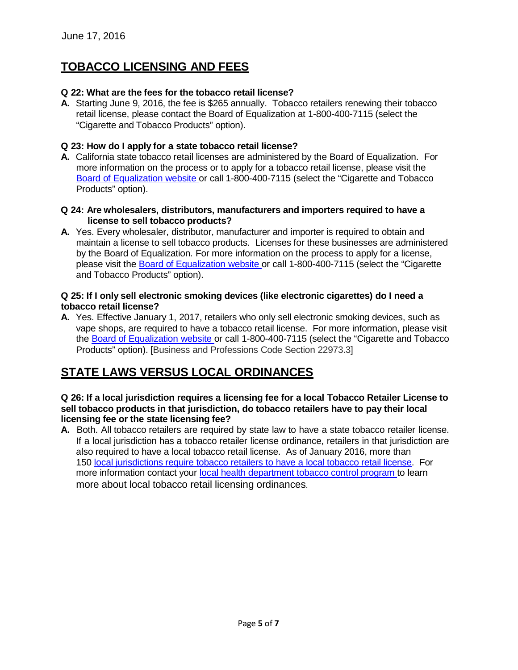# **TOBACCO LICENSING AND FEES**

## **Q 22: What are the fees for the tobacco retail license?**

**A.** Starting June 9, 2016, the fee is \$265 annually. Tobacco retailers renewing their tobacco retail license, please contact the Board of Equalization at 1-800-400-7115 (select the "Cigarette and Tobacco Products" option).

## **Q 23: How do I apply for a state tobacco retail license?**

- **A.** California state tobacco retail licenses are administered by the Board of Equalization. For more information on the process or to apply for a tobacco retail license, please visit the Board of [Equalization](http://www.boe.ca.gov/sptaxprog/cig_n_tob_prod_lic.htm) website or call 1-800-400-7115 (select the "Cigarette and Tobacco Products" option).
- **Q 24: Are wholesalers, distributors, manufacturers and importers required to have a license to sell tobacco products?**
- **A.** Yes. Every wholesaler, distributor, manufacturer and importer is required to obtain and maintain a license to sell tobacco products. Licenses for these businesses are administered by the Board of Equalization. For more information on the process to apply for a license, please visit the Board of [Equalization](http://www.boe.ca.gov/sptaxprog/cig_n_tob_prod_lic.htm) website or call 1-800-400-7115 (select the "Cigarette and Tobacco Products" option).

### **Q 25: If I only sell electronic smoking devices (like electronic cigarettes) do I need a tobacco retail license?**

**A.** Yes. Effective January 1, 2017, retailers who only sell electronic smoking devices, such as vape shops, are required to have a tobacco retail license. For more information, please visit the Board of [Equalization](http://www.boe.ca.gov/sptaxprog/cig_n_tob_prod_lic.htm) website or call 1-800-400-7115 (select the "Cigarette and Tobacco Products" option). [Business and Professions Code Section 22973.3]

# **STATE LAWS VERSUS LOCAL ORDINANCES**

### **Q 26: If a local jurisdiction requires a licensing fee for a local Tobacco Retailer License to sell tobacco products in that jurisdiction, do tobacco retailers have to pay their local licensing fee or the state licensing fee?**

**A.** Both. All tobacco retailers are required by state law to have a state tobacco retailer license. If a local jurisdiction has a tobacco retailer license ordinance, retailers in that jurisdiction are also required to have a local tobacco retail license. As of January 2016, more than 150 [local jurisdictions](http://cdphinternet/programs/tobacco/Documents/Tobacco21Law/Minimum%20Clerk%20Age%20Jurisdictions.pdf) require tobacco retailers to have a local tobacco retail license. For more information contact your local [health department](http://www.cdph.ca.gov/programs/tobacco/Documents/Partners/greenSheet2June16.pdf) tobacco control program to learn more about local tobacco retail licensing ordinances.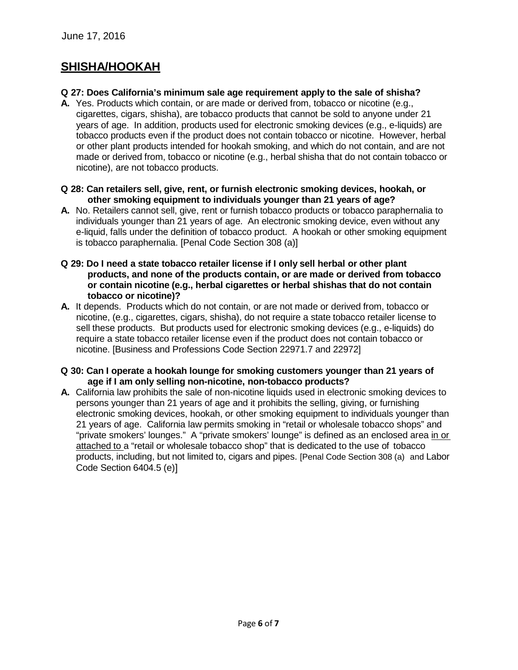# **SHISHA/HOOKAH**

### **Q 27: Does California's minimum sale age requirement apply to the sale of shisha?**

- **A.** Yes. Products which contain, or are made or derived from, tobacco or nicotine (e.g., cigarettes, cigars, shisha), are tobacco products that cannot be sold to anyone under 21 years of age. In addition, products used for electronic smoking devices (e.g., e-liquids) are tobacco products even if the product does not contain tobacco or nicotine. However, herbal or other plant products intended for hookah smoking, and which do not contain, and are not made or derived from, tobacco or nicotine (e.g., herbal shisha that do not contain tobacco or nicotine), are not tobacco products.
- **Q 28: Can retailers sell, give, rent, or furnish electronic smoking devices, hookah, or other smoking equipment to individuals younger than 21 years of age?**
- **A.** No. Retailers cannot sell, give, rent or furnish tobacco products or tobacco paraphernalia to individuals younger than 21 years of age. An electronic smoking device, even without any e-liquid, falls under the definition of tobacco product. A hookah or other smoking equipment is tobacco paraphernalia. [Penal Code Section 308 (a)]
- **Q 29: Do I need a state tobacco retailer license if I only sell herbal or other plant products, and none of the products contain, or are made or derived from tobacco or contain nicotine (e.g., herbal cigarettes or herbal shishas that do not contain tobacco or nicotine)?**
- **A.** It depends. Products which do not contain, or are not made or derived from, tobacco or nicotine, (e.g., cigarettes, cigars, shisha), do not require a state tobacco retailer license to sell these products. But products used for electronic smoking devices (e.g., e-liquids) do require a state tobacco retailer license even if the product does not contain tobacco or nicotine. [Business and Professions Code Section 22971.7 and 22972]
- **Q 30: Can I operate a hookah lounge for smoking customers younger than 21 years of age if I am only selling non-nicotine, non-tobacco products?**
- **A.** California law prohibits the sale of non-nicotine liquids used in electronic smoking devices to persons younger than 21 years of age and it prohibits the selling, giving, or furnishing electronic smoking devices, hookah, or other smoking equipment to individuals younger than 21 years of age. California law permits smoking in "retail or wholesale tobacco shops" and "private smokers' lounges." A "private smokers' lounge" is defined as an enclosed area in or attached to a "retail or wholesale tobacco shop" that is dedicated to the use of tobacco products, including, but not limited to, cigars and pipes. [Penal Code Section 308 (a) and Labor Code Section 6404.5 (e)]